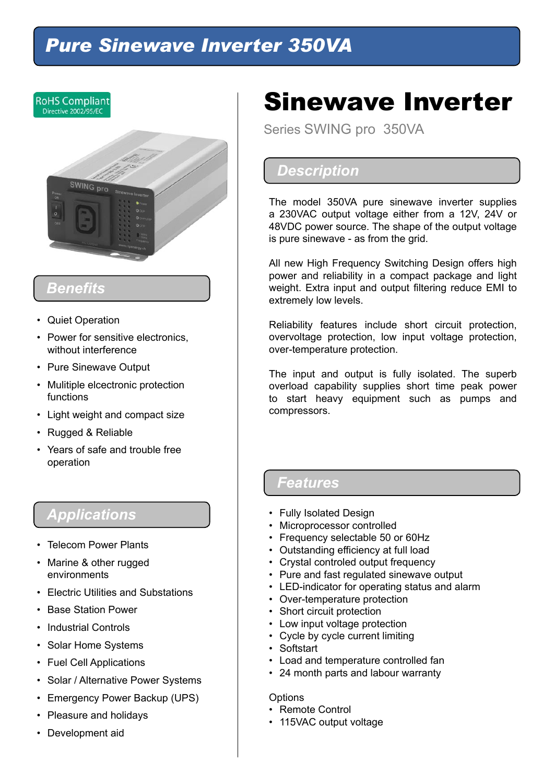## *Pure Sinewave Inverter 350VA*



## *Benefits*

- Quiet Operation
- Power for sensitive electronics, without interference
- Pure Sinewave Output
- Mulitiple elcectronic protection functions
- Light weight and compact size
- Rugged & Reliable
- Years of safe and trouble free operation

## *Applications*

- Telecom Power Plants
- Marine & other rugged environments
- Electric Utilities and Substations
- Base Station Power
- Industrial Controls
- Solar Home Systems
- Fuel Cell Applications
- Solar / Alternative Power Systems
- Emergency Power Backup (UPS)
- Pleasure and holidays
- Development aid

# Sinewave Inverter

Series SWING pro 350VA

## *Description*

The model 350VA pure sinewave inverter supplies a 230VAC output voltage either from a 12V, 24V or 48VDC power source. The shape of the output voltage is pure sinewave - as from the grid.

All new High Frequency Switching Design offers high power and reliability in a compact package and light weight. Extra input and output filtering reduce EMI to extremely low levels.

Reliability features include short circuit protection, overvoltage protection, low input voltage protection, over-temperature protection.

The input and output is fully isolated. The superb overload capability supplies short time peak power to start heavy equipment such as pumps and compressors.

### *Features*

- Fully Isolated Design
- Microprocessor controlled
- Frequency selectable 50 or 60Hz
- Outstanding efficiency at full load
- Crystal controled output frequency
- Pure and fast regulated sinewave output
- LED-indicator for operating status and alarm
- Over-temperature protection
- Short circuit protection
- Low input voltage protection
- Cycle by cycle current limiting
- Softstart
- Load and temperature controlled fan
- 24 month parts and labour warranty

#### **Options**

- Remote Control
- 115VAC output voltage